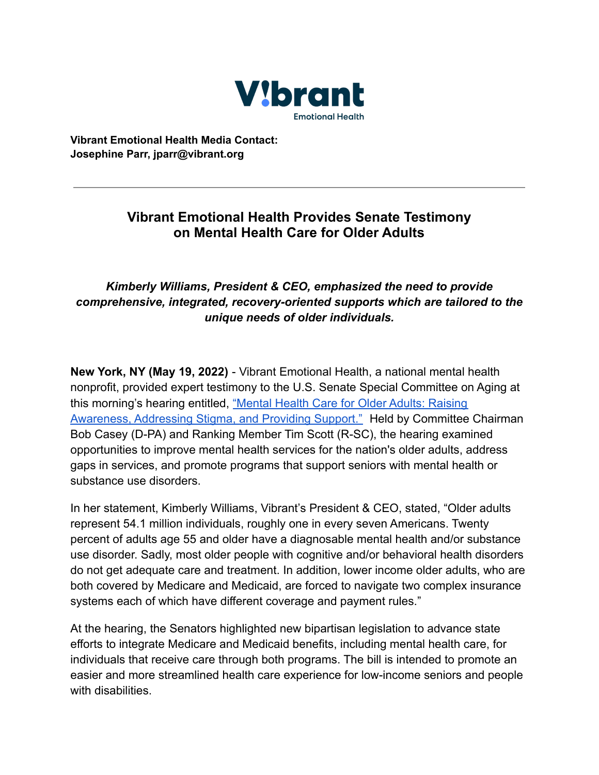

**Vibrant Emotional Health Media Contact: Josephine Parr, jparr@vibrant.org**

## **Vibrant Emotional Health Provides Senate Testimony on Mental Health Care for Older Adults**

## *Kimberly Williams, President & CEO, emphasized the need to provide comprehensive, integrated, recovery-oriented supports which are tailored to the unique needs of older individuals.*

**New York, NY (May 19, 2022)** - Vibrant Emotional Health, a national mental health nonprofit, provided expert testimony to the U.S. Senate Special Committee on Aging at this morning's hearing entitled, "Mental Health Care [for Older Adults: Raising](https://nam11.safelinks.protection.outlook.com/?url=https%3A%2F%2Fwww.aging.senate.gov%2Fhearings%2Fmental-health-care-for-older-adults-raising-awareness-addressing-stigma-and-providing-support&data=05%7C01%7Cjparr%40vibrant.org%7C1722a0241fda43522aa908da38ea0df2%7C8ba4e443ed7b4df597f5c31e616833c6%7C0%7C0%7C637884875167499293%7CUnknown%7CTWFpbGZsb3d8eyJWIjoiMC4wLjAwMDAiLCJQIjoiV2luMzIiLCJBTiI6Ik1haWwiLCJXVCI6Mn0%3D%7C3000%7C%7C%7C&sdata=Rg4lh14t5CtiIXy%2BYNL77nXLmXSTNQALCYjLeqLlqhE%3D&reserved=0) [Awareness, Addressing Stigma, and Providing Support."](https://nam11.safelinks.protection.outlook.com/?url=https%3A%2F%2Fwww.aging.senate.gov%2Fhearings%2Fmental-health-care-for-older-adults-raising-awareness-addressing-stigma-and-providing-support&data=05%7C01%7Cjparr%40vibrant.org%7C1722a0241fda43522aa908da38ea0df2%7C8ba4e443ed7b4df597f5c31e616833c6%7C0%7C0%7C637884875167499293%7CUnknown%7CTWFpbGZsb3d8eyJWIjoiMC4wLjAwMDAiLCJQIjoiV2luMzIiLCJBTiI6Ik1haWwiLCJXVCI6Mn0%3D%7C3000%7C%7C%7C&sdata=Rg4lh14t5CtiIXy%2BYNL77nXLmXSTNQALCYjLeqLlqhE%3D&reserved=0) Held by Committee Chairman Bob Casey (D-PA) and Ranking Member Tim Scott (R-SC), the hearing examined opportunities to improve mental health services for the nation's older adults, address gaps in services, and promote programs that support seniors with mental health or substance use disorders.

In her statement, Kimberly Williams, Vibrant's President & CEO, stated, "Older adults represent 54.1 million individuals, roughly one in every seven Americans. Twenty percent of adults age 55 and older have a diagnosable mental health and/or substance use disorder. Sadly, most older people with cognitive and/or behavioral health disorders do not get adequate care and treatment. In addition, lower income older adults, who are both covered by Medicare and Medicaid, are forced to navigate two complex insurance systems each of which have different coverage and payment rules."

At the hearing, the Senators highlighted new bipartisan legislation to advance state efforts to integrate Medicare and Medicaid benefits, including mental health care, for individuals that receive care through both programs. The bill is intended to promote an easier and more streamlined health care experience for low-income seniors and people with disabilities